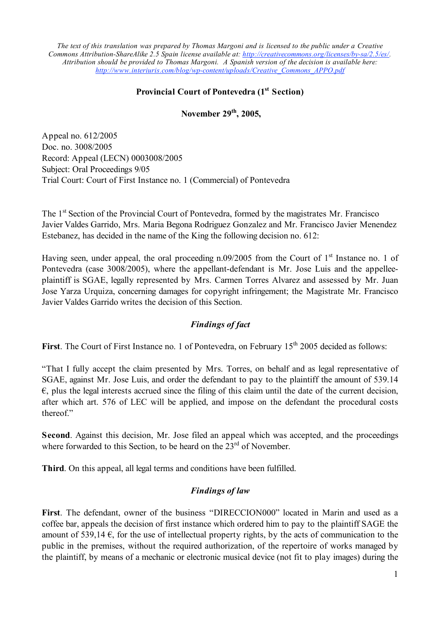The text of this translation was prepared by Thomas Margoni and is licensed to the public under a Creative *Commons Attribution-ShareAlike 2.5 Spain license available at: http://creativecommons.org/licenses/by-sa/2.5/es/. Attribution should be provided to Thomas Margoni. A Spanish version of the decision is available here: http://www.interiuris.com/blog/wp-content/uploads/Creative\_Commons\_APPO.pdf*

## **Provincial Court of Pontevedra (1st Section)**

**November 29th, 2005,**

Appeal no. 612/2005 Doc. no. 3008/2005 Record: Appeal (LECN) 0003008/2005 Subject: Oral Proceedings 9/05 Trial Court: Court of First Instance no. 1 (Commercial) of Pontevedra

The 1<sup>st</sup> Section of the Provincial Court of Pontevedra, formed by the magistrates Mr. Francisco Javier Valdes Garrido, Mrs. Maria Begona Rodriguez Gonzalez and Mr. Francisco Javier Menendez Estebanez, has decided in the name of the King the following decision no. 612:

Having seen, under appeal, the oral proceeding n.09/2005 from the Court of 1<sup>st</sup> Instance no. 1 of Pontevedra (case 3008/2005), where the appellant-defendant is Mr. Jose Luis and the appelleeplaintiff is SGAE, legally represented by Mrs. Carmen Torres Alvarez and assessed by Mr. Juan Jose Yarza Urquiza, concerning damages for copyright infringement; the Magistrate Mr. Francisco Javier Valdes Garrido writes the decision of this Section.

## *Findings of fact*

**First**. The Court of First Instance no. 1 of Pontevedra, on February 15<sup>th</sup> 2005 decided as follows:

"That I fully accept the claim presented by Mrs. Torres, on behalf and as legal representative of SGAE, against Mr. Jose Luis, and order the defendant to pay to the plaintiff the amount of 539.14  $\epsilon$ , plus the legal interests accrued since the filing of this claim until the date of the current decision, after which art. 576 of LEC will be applied, and impose on the defendant the procedural costs thereof"

**Second**. Against this decision, Mr. Jose filed an appeal which was accepted, and the proceedings where forwarded to this Section, to be heard on the 23<sup>rd</sup> of November.

**Third**. On this appeal, all legal terms and conditions have been fulfilled.

## *Findings of law*

**First**. The defendant, owner of the business "DIRECCION000" located in Marin and used as a coffee bar, appeals the decision of first instance which ordered him to pay to the plaintiff SAGE the amount of 539,14  $\epsilon$ , for the use of intellectual property rights, by the acts of communication to the public in the premises, without the required authorization, of the repertoire of works managed by the plaintiff, by means of a mechanic or electronic musical device (not fit to play images) during the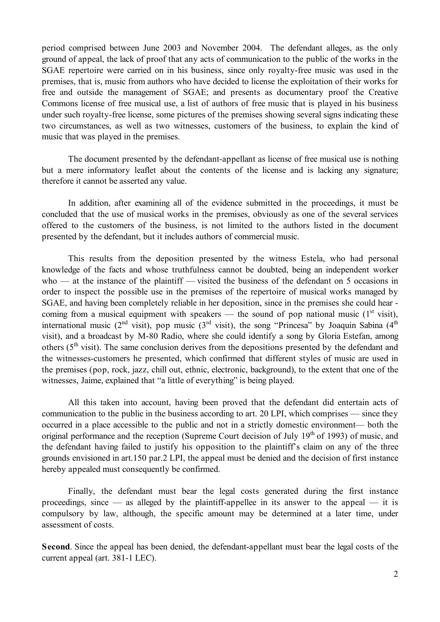period comprised between June 2003 and November 2004. The defendant alleges, as the only ground of appeal, the lack of proof that any acts of communication to the public of the works in the SGAE repertoire were carried on in his business, since only royalty-free music was used in the premises, that is, music from authors who have decided to license the exploitation of their works for free and outside the management of SGAE; and presents as documentary proof the Creative Commons license of free musical use, a list of authors of free music that is played in his business under such royalty-free license, some pictures of the premises showing several signs indicating these two circumstances, as well as two witnesses, customers of the business, to explain the kind of music that was played in the premises.

The document presented by the defendant-appellant as license of free musical use is nothing but a mere informatory leaflet about the contents of the license and is lacking any signature; therefore it cannot be asserted any value.

In addition, after examining all of the evidence submitted in the proceedings, it must be concluded that the use of musical works in the premises, obviously as one of the several services offered to the customers of the business, is not limited to the authors listed in the document presented by the defendant, but it includes authors of commercial music.

This results from the deposition presented by the witness Estela, who had personal knowledge of the facts and whose truthfulness cannot be doubted, being an independent worker who — at the instance of the plaintiff — visited the business of the defendant on 5 occasions in order to inspect the possible use in the premises of the repertoire of musical works managed by SGAE, and having been completely reliable in her deposition, since in the premises she could hear coming from a musical equipment with speakers — the sound of pop national music  $(1<sup>st</sup> visit)$ , international music ( $2<sup>nd</sup>$  visit), pop music ( $3<sup>rd</sup>$  visit), the song "Princesa" by Joaquin Sabina ( $4<sup>th</sup>$ visit), and a broadcast by M-80 Radio, where she could identify a song by Gloria Estefan, among others  $(5<sup>th</sup>$  visit). The same conclusion derives from the depositions presented by the defendant and the witnesses-customers he presented, which confirmed that different styles of music are used in the premises (pop, rock, jazz, chill out, ethnic, electronic, background), to the extent that one of the witnesses, Jaime, explained that "a little of everything" is being played.

All this taken into account, having been proved that the defendant did entertain acts of communication to the public in the business according to art. 20 LPI, which comprises — since they occurred in a place accessible to the public and not in a strictly domestic environment— both the original performance and the reception (Supreme Court decision of July 19<sup>th</sup> of 1993) of music, and the defendant having failed to justify his opposition to the plaintiff's claim on any of the three grounds envisioned in art.150 par.2 LPI, the appeal must be denied and the decision of first instance hereby appealed must consequently be confirmed.

Finally, the defendant must bear the legal costs generated during the first instance proceedings, since — as alleged by the plaintiff-appellee in its answer to the appeal — it is compulsory by law, although, the specific amount may be determined at a later time, under assessment of costs.

**Second**. Since the appeal has been denied, the defendant-appellant must bear the legal costs of the current appeal (art. 381-1 LEC).